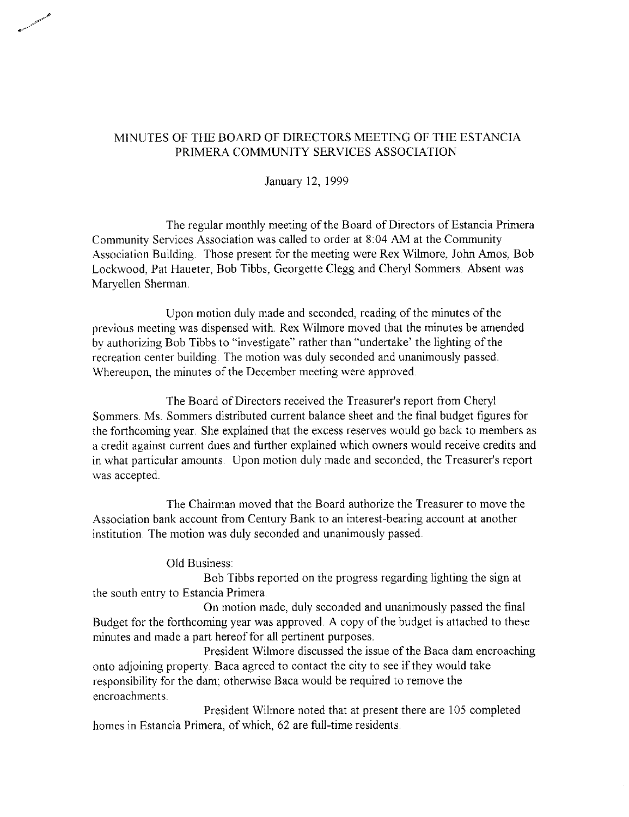January 12, 1999

The regular monthly meeting of the Board of Directors of Estancia Primera Community Services Association was called to order at 8:04 AM at the Community Association Building. Those present for the meeting were Rex Wilmore, John Amos, Bob Lockwood, Pat Haueter, Bob Tibbs, Georgette Clegg and Cheryl Sommers. Absent was Maryellen Sherman.

Upon motion duly made and seconded, reading of the minutes of the previous meeting was dispensed with. Rex Wilmore moved that the minutes be amended by authorizing Bob Tibbs to "investigate" rather than "undertake' the lighting of the recreation center building. The motion was duly seconded and unanimously passed. Whereupon, the minutes of the December meeting were approved.

The Board of Directors received the Treasurer's report from Cheryl Sommers. Ms. Sommers distributed current balance sheet and the final budget figures for the forthcoming year. She explained that the excess reserves would go back to members as a credit against current dues and further explained which owners would receive credits and in what particular amounts. Upon motion duly made and seconded, the Treasurer's report was accepted.

The Chairman moved that the Board authorize the Treasurer to move the Association bank account from Century Bank to an interest-bearing account at another institution. The motion was duly seconded and unanimously passed.

Old Business:

Bob Tibbs reported on the progress regarding lighting the sign at the south entry to Estancia Primera.

On motion made, duly seconded and unanimously passed the final Budget for the forthcoming year was approved. A copy of the budget is attached to these minutes and made a part hereof for all pertinent purposes.

President Wilmore discussed the issue of the Baca dam encroaching onto adjoining property. Baca agreed to contact the city to see if they would take responsibility for the dam; otherwise Baca would be required to remove the encroachments.

President Wilmore noted that at present there are 105 completed homes in Estancia Primera, of which, 62 are full-time residents.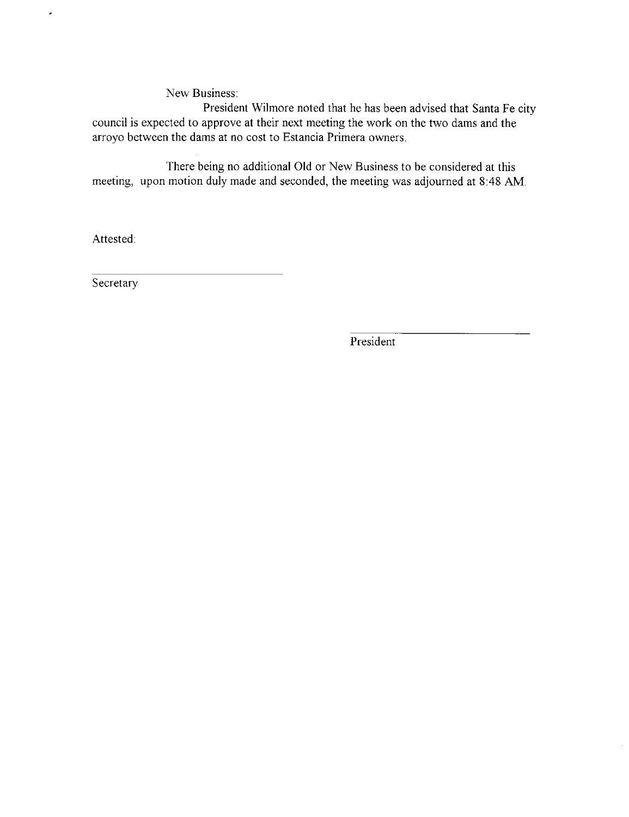New Business:

President Wilmore noted that he has been advised that Santa Fe city council is expected to approve at their next meeting the work on the two dams and the arroyo between the dams at no cost to Estancia Primera owners.

There being no additional Old or New Business to be considered at this meeting, upon motion duly made and seconded, the meeting was adjourned at 8:48 AM.

Attested:

 $\overline{\phantom{a}}$ 

Secretary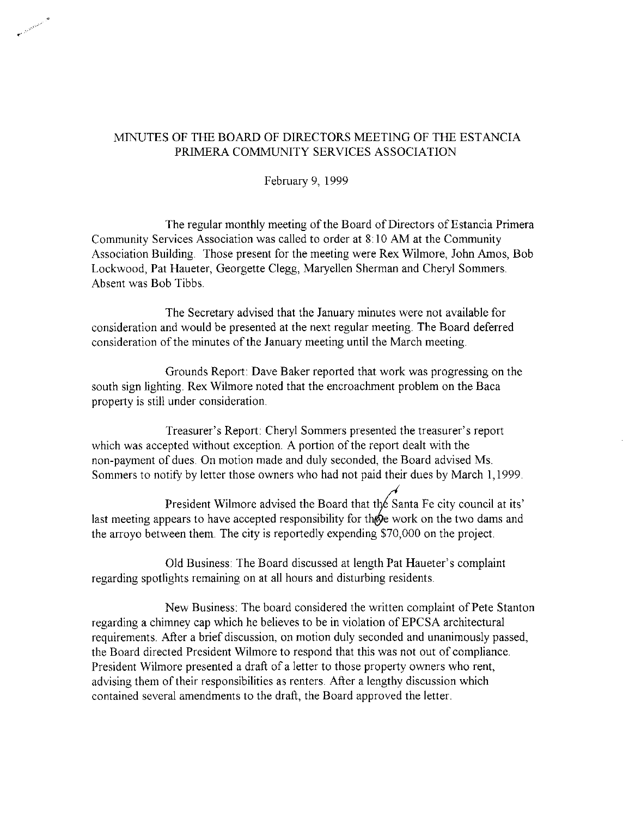February 9, 1999

The regular monthly meeting of the Board of Directors of Estancia Primera Community Services Association was called to order at 8:10 AM at the Community Association Building. Those present for the meeting were Rex Wilmore, John Amos, Bob Lockwood, Pat Haueter, Georgette Clegg, Maryellen Sherman and Cheryl Sommers. Absent was Bob Tibbs.

The Secretary advised that the January minutes were not available for consideration and would be presented at the next regular meeting. The Board deferred consideration of the minutes of the January meeting until the March meeting.

Grounds Report: Dave Baker reported that work was progressing on the south sign lighting. Rex Wilmore noted that the encroachment problem on the Baca property is still under consideration.

Treasurer's Report: Cheryl Sommers presented the treasurer's report which was accepted without exception. A portion of the report dealt with the non-payment of dues. On motion made and duly seconded, the Board advised Ms. Sommers to notify by letter those owners who had not paid their dues by March 1,1999.

President Wilmore advised the Board that the Santa Fe city council at its' last meeting appears to have accepted responsibility for those work on the two dams and the arroyo between them. The city is reportedly expending \$70,000 on the project.

Old Business: The Board discussed at length Pat Haueter's complaint regarding spotlights remaining on at all hours and disturbing residents.

New Business: The board considered the written complaint of Pete Stanton regarding a chimney cap which he believes to be in violation of EPCSA architectural requirements. After a brief discussion, on motion duly seconded and unanimously passed, the Board directed President Wilmore to respond that this was not out of compliance. President Wilmore presented a draft of a letter to those property owners who rent, advising them of their responsibilities as renters. After a lengthy discussion which contained several amendments to the draft, the Board approved the letter.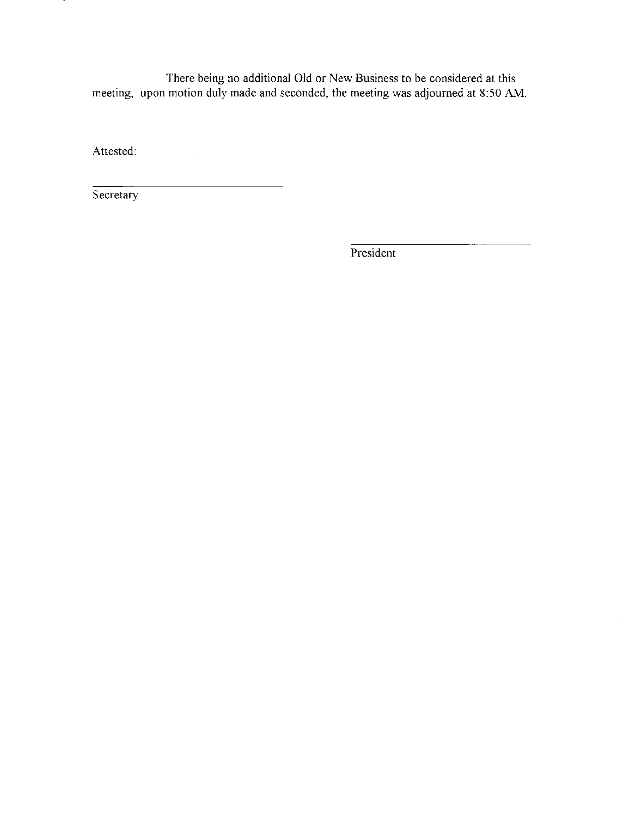There being no additional Old or New Business to be considered at this meeting, upon motion duly made and seconded, the meeting was adjourned at 8:50 AM.

Attested:

Secretary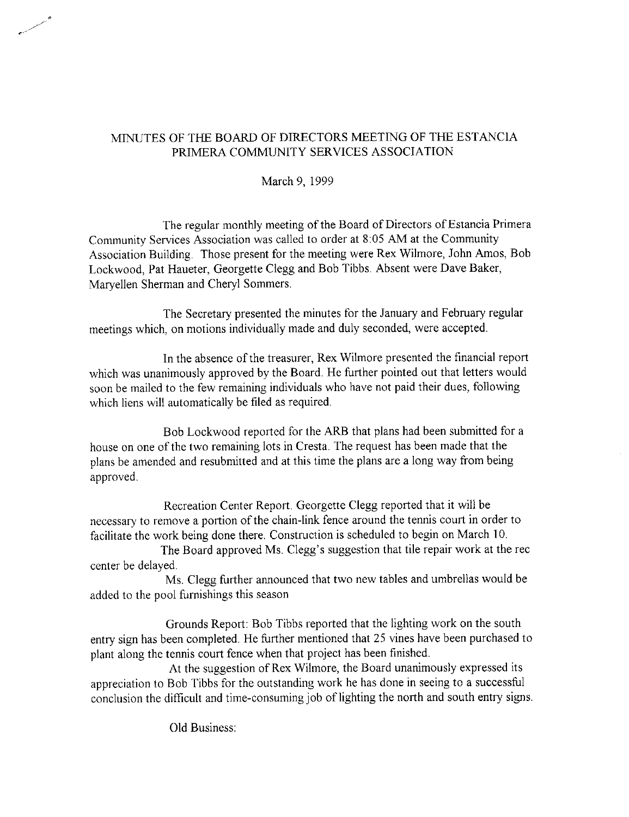March 9, 1999

The regular monthly meeting of the Board of Directors of Estancia Primera Community Services Association was called to order at 8:05 AM at the Community Association Building. Those present for the meeting were Rex Wilmore, John Amos, Bob Lockwood, Pat Haueter, Georgette Clegg and Bob Tibbs. Absent were Dave Baker, Maryellen Sherman and Cheryl Sommers.

The Secretary presented the minutes for the January and February regular meetings which, on motions individually made and duly seconded, were accepted.

In the absence of the treasurer, Rex Wilmore presented the financial report which was unanimously approved by the Board. He further pointed out that letters would soon be mailed to the few remaining individuals who have not paid their dues, following which liens will automatically be filed as required.

Bob Lockwood reported for the ARB that plans had been submitted for a house on one of the two remaining lots in Cresta. The request has been made that the plans be amended and resubmitted and at this time the plans are a long way from being approved.

Recreation Center Report. Georgette Clegg reported that it will be necessary to remove a portion of the chain-link fence around the tennis court in order to facilitate the work being done there. Construction is scheduled to begin on March 10.

The Board approved Ms. Clegg's suggestion that tile repair work at the rec center be delayed.

Ms. Clegg further announced that two new tables and umbrellas would be added to the pool furnishings this season

Grounds Report: Bob Tibbs reported that the lighting work on the south entry sign has been completed. He further mentioned that 25 vines have been purchased to plant along the tennis court fence when that project has been finished.

At the suggestion of Rex Wilmore, the Board unanimously expressed its appreciation to Bob Tibbs for the outstanding work he has done in seeing to a successful conclusion the difficult and time-consuming job of lighting the north and south entry signs.

Old Business: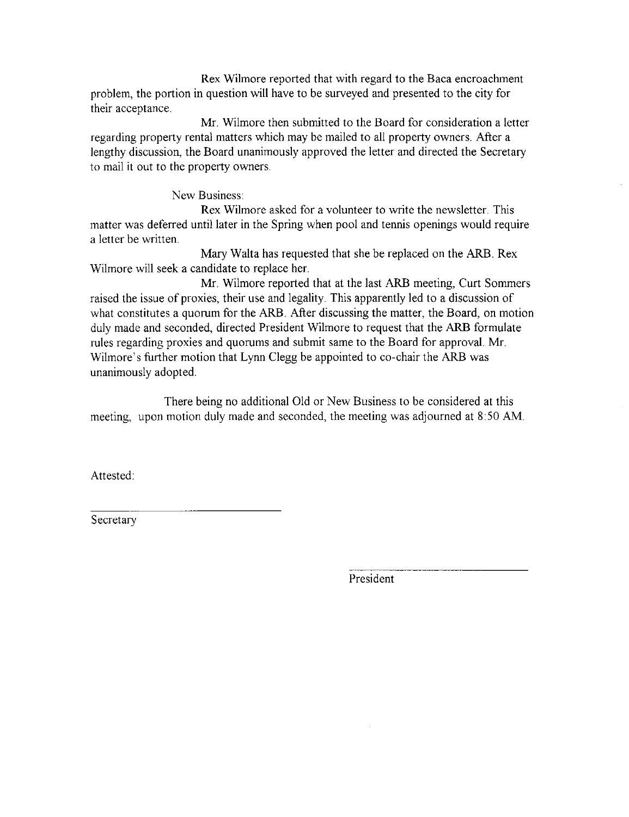Rex Wilmore reported that with regard to the Baca encroachment problem, the portion in question will have to be surveyed and presented to the city for their acceptance.

Mr. Wilmore then submitted to the Board for consideration a letter regarding property rental matters which may be mailed to all property owners. After a lengthy discussion, the Board unanimously approved the letter and directed the Secretary to mail it out to the property owners.

New Business:

Rex Wilmore asked for a volunteer to write the newsletter. This matter was deferred until later in the Spring when pool and tennis openings would require a letter be written.

Mary Walta has requested that she be replaced on the ARB. Rex Wilmore will seek a candidate to replace her.

Mr. Wilmore reported that at the last ARB meeting, Curt Sommers raised the issue of proxies, their use and legality. This apparently led to a discussion of what constitutes a quorum for the ARB. After discussing the matter, the Board, on motion duly made and seconded, directed President Wilmore to request that the ARB formulate rules regarding proxies and quorums and submit same to the Board for approval. Mr. Wilmore's further motion that Lynn Clegg be appointed to co-chair the ARB was unanimously adopted.

There being no additional Old or New Business to be considered at this meeting, upon motion duly made and seconded, the meeting was adjourned at 8:50 AM.

Attested:

Secretary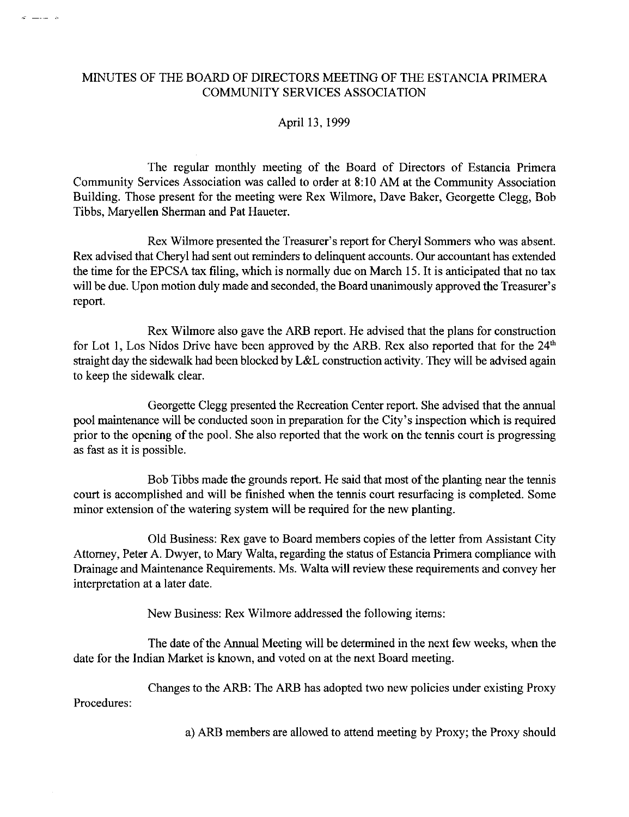$\sigma = -1$ 

#### April 13, 1999

The regular monthly meeting of the Board of Directors of Estancia Primera Community Services Association was called to order at 8:10 AM at the Community Association Building. Those present for the meeting were Rex Wilmore, Dave Baker, Georgette Clegg, Bob Tibbs, Maryellen Sherman and Pat Haueter.

Rex Wilmore presented the Treasurer's report for Cheryl Sommers who was absent. Rex advised that Cheryl had sent out reminders to delinquent accounts. Our accountant has extended the time for the EPCSA tax filing, which is normally due on March 15. It is anticipated that no tax will be due. Upon motion duly made and seconded, the Board unanimously approved the Treasurer's report.

Rex Wilmore also gave the ARB report. He advised that the plans for construction for Lot 1, Los Nidos Drive have been approved by the ARB. Rex also reported that for the 24<sup>th</sup> straight day the sidewalk had been blocked by L&L construction activity. They will be advised again to keep the sidewalk clear.

Georgette Clegg presented the Recreation Center report. She advised that the annual pool maintenance will be conducted soon in preparation for the City's inspection which is required prior to the opening of the pool. She also reported that the work on the tennis court is progressing as fast as it is possible.

Bob Tibbs made the grounds report. He said that most of the planting near the tennis court is accomplished and will be finished when the tennis court resurfacing is completed. Some minor extension of the watering system will be required for the new planting.

Old Business: Rex gave to Board members copies of the letter from Assistant City Attorney, Peter A. Dwyer, to Mary Walta, regarding the status of Estancia Primera compliance with Drainage and Maintenance Requirements. Ms. Walta will review these requirements and convey her interpretation at a later date.

New Business: Rex Wilmore addressed the following items:

The date of the Annual Meeting will be determined in the next few weeks, when the date for the Indian Market is known, and voted on at the next Board meeting.

Changes to the ARB: The ARB has adopted two new policies under existing Proxy Procedures:

a) ARB members are allowed to attend meeting by Proxy; the Proxy should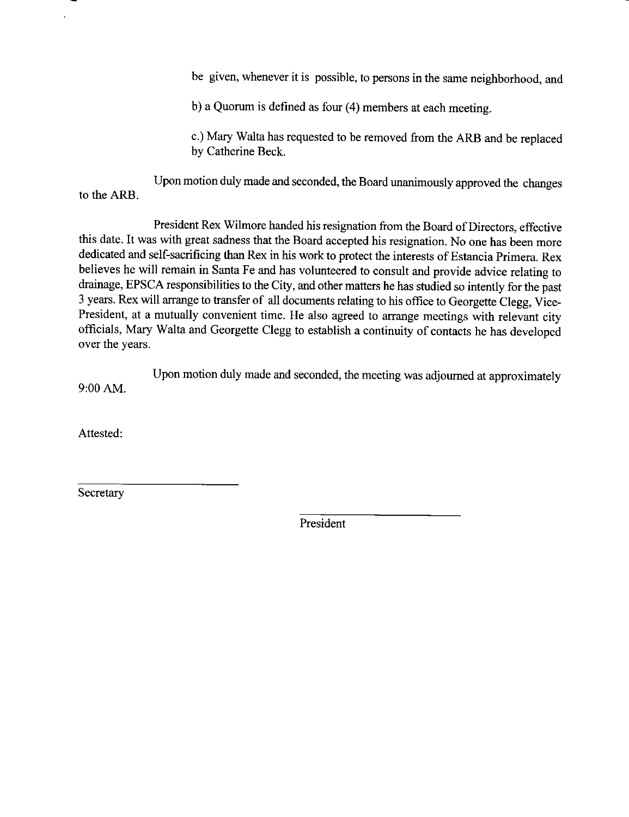be given, whenever it is possible, to persons in the same neighborhood, and

b) a Quorum is defined as four (4) members at each meeting.

c.) Mary Walta has requested to be removed from the ARB and be replaced by Catherine Beck.

Upon motion duly made and seconded, the Board unanimously approved the changes to the ARB.

President Rex Wilmore handed his resignation from the Board of Directors, effective this date. It was with great sadness that the Board accepted his resignation. No one has been more dedicated and self-sacrificing than Rex in his work to protect the interests of Estancia Primera. Rex believes he will remain in Santa Fe and has volunteered to consult and provide advice relating to drainage, EPSCA responsibilities to the City, and other matters he has studied so intently for the past 3 years. Rex will arrange to transfer of all documents relating to his office to Georgette Clegg, Vice-President, at a mutually convenient time. He also agreed to arrange meetings with relevant city officials, Mary Walta and Georgette Clegg to establish a continuity of contacts he has developed over the years.

Upon motion duly made and seconded, the meeting was adjourned at approximately 9:00 AM.

Attested:

 $\lambda$ 

Secretary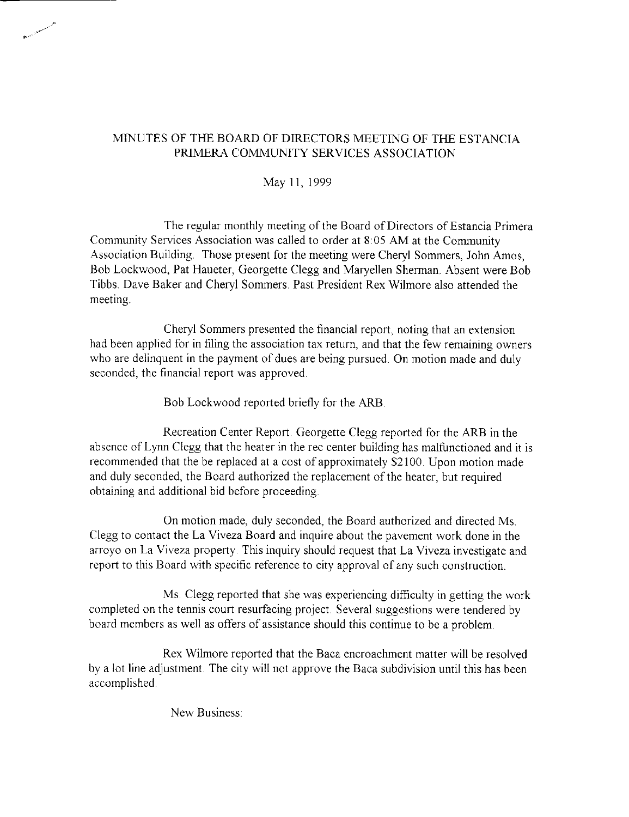May 11, 1999

The regular monthly meeting of the Board of Directors of Estancia Primera Community Services Association was called to order at 8:05 AM at the Community Association Building. Those present for the meeting were Cheryl Sommers, John Amos, Bob Lockwood, Pat Haueter, Georgette Clegg and Maryellen Sherman. Absent were Bob Tibbs. Dave Baker and Cheryl Sommers. Past President Rex Wilmore also attended the meeting.

Cheryl Sommers presented the financial report, noting that an extension had been applied for in filing the association tax return, and that the few remaining owners who are delinquent in the payment of dues are being pursued. On motion made and duly seconded, the financial report was approved.

Bob Lockwood reported briefly for the ARB.

Recreation Center Report. Georgette Clegg reported for the ARB in the absence of Lynn Clegg that the heater in the rec center building has malfunctioned and it is recommended that the be replaced at a cost of approximately \$2100. Upon motion made and duly seconded, the Board authorized the replacement of the heater, but required obtaining and additional bid before proceeding.

On motion made, duly seconded, the Board authorized and directed Ms. Clegg to contact the La Viveza Board and inquire about the pavement work done in the arroyo on La Viveza property. This inquiry should request that La Viveza investigate and report to this Board with specific reference to city approval of any such construction.

Ms. Clegg reported that she was experiencing difficulty in getting the work completed on the tennis court resurfacing project. Several suggestions were tendered by board members as well as offers of assistance should this continue to be a problem.

Rex Wilmore reported that the Baca encroachment matter will be resolved by a lot line adjustment. The city will not approve the Baca subdivision until this has been accomplished.

New Business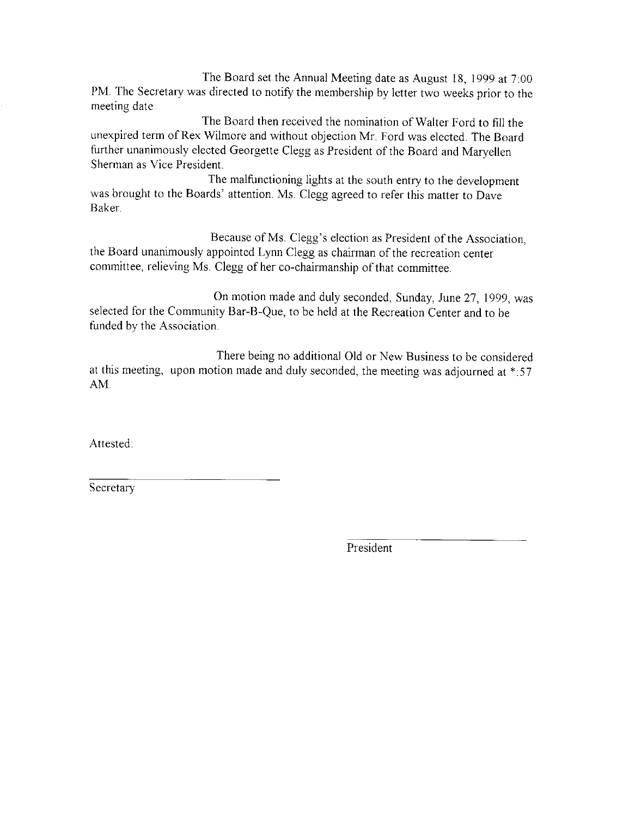The Board set the Annual Meeting date as August 18, 1999 at  $7:00$ PM. The Secretary was directed to notify the membership by letter two weeks prior to the meeting date.

The Board then received the nomination of Walter Ford to fill the unexpired term of Rex Wilmore and without objection Mr. Ford was elected. The Board further unanimously elected Georgette Clegg as President of the Board and Maryellen Sherman as Vice President.

The malfunctioning lights at the south entry to the development was brought to the Boards' attention. Ms. Clegg agreed to refer this matter to Dave Baker.

Because of Ms. Clegg's election as President of the Association, the Board unanimously appointed Lynn Clegg as chairman of the recreation center committee, relieving Ms. Clegg of her co-chairmanship of that committee.

On motion made and duly seconded, Sunday, June 27, 1999, was selected for the Community Bar-B-Que, to be held at the Recreation Center and to be funded by the Association.

There being no additional Old or New Business to be considered at this meeting, upon motion made and duly seconded, the meeting was adjourned at \*: 57 AM.

Attested:

Secretary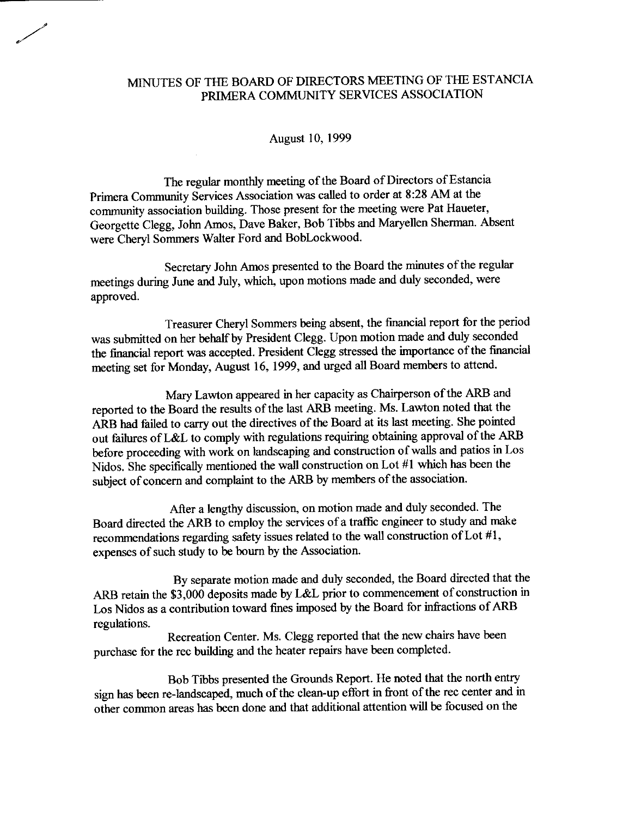#### August 10, 1999

The regular monthly meeting of the Board of Directors of Estancia Primera Community Services Association was called to order at 8:28 AM at the community association building. Those present for the meeting were Pat Haueter, Georgette Clegg, John Amos, Dave Baker, Bob Tibbs and Maryellen Sherman. Absent were Chervl Sommers Walter Ford and BobLockwood.

Secretary John Amos presented to the Board the minutes of the regular meetings during June and July, which, upon motions made and duly seconded, were approved.

Treasurer Cheryl Sommers being absent, the financial report for the period was submitted on her behalf by President Clegg. Upon motion made and duly seconded the financial report was accepted. President Clegg stressed the importance of the financial meeting set for Monday, August 16, 1999, and urged all Board members to attend.

Mary Lawton appeared in her capacity as Chairperson of the ARB and reported to the Board the results of the last ARB meeting. Ms. Lawton noted that the ARB had failed to carry out the directives of the Board at its last meeting. She pointed out failures of L&L to comply with regulations requiring obtaining approval of the ARB before proceeding with work on landscaping and construction of walls and patios in Los Nidos. She specifically mentioned the wall construction on Lot #1 which has been the subject of concern and complaint to the ARB by members of the association.

After a lengthy discussion, on motion made and duly seconded. The Board directed the ARB to employ the services of a traffic engineer to study and make recommendations regarding safety issues related to the wall construction of Lot #1, expenses of such study to be bourn by the Association.

By separate motion made and duly seconded, the Board directed that the ARB retain the \$3,000 deposits made by L&L prior to commencement of construction in Los Nidos as a contribution toward fines imposed by the Board for infractions of ARB regulations.

Recreation Center. Ms. Clegg reported that the new chairs have been purchase for the rec building and the heater repairs have been completed.

Bob Tibbs presented the Grounds Report. He noted that the north entry sign has been re-landscaped, much of the clean-up effort in front of the rec center and in other common areas has been done and that additional attention will be focused on the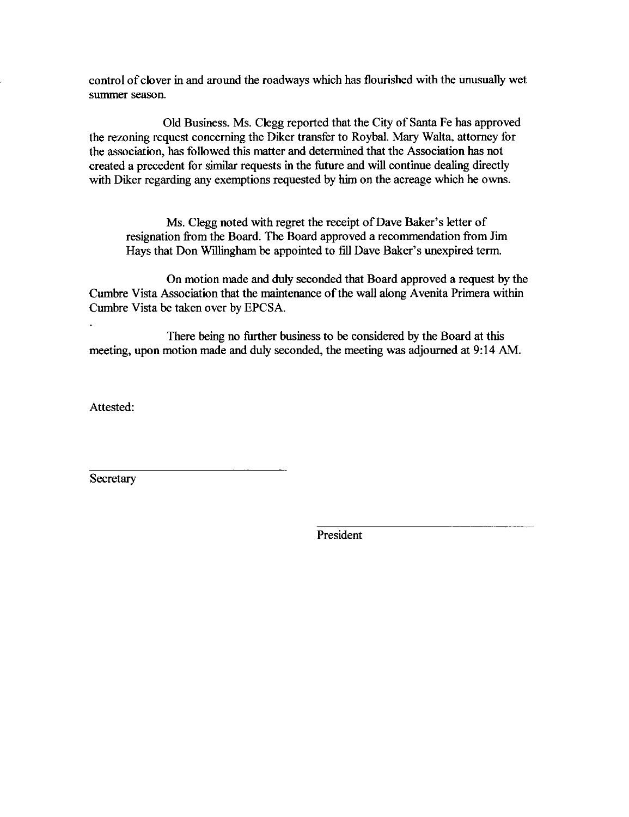control of clover in and around the roadways which has flourished with the unusually wet summer season.

Old Business. Ms. Clegg reported that the City of Santa Fe has approved the rezoning request concerning the Diker transfer to Roybal. Mary Walta, attorney for the association, has followed this matter and determined that the Association has not created a precedent for similar requests in the future and will continue dealing directly with Diker regarding any exemptions requested by him on the acreage which he owns.

Ms. Clegg noted with regret the receipt of Dave Baker's letter of resignation from the Board. The Board approved a recommendation from Jim Hays that Don Willingham be appointed to fill Dave Baker's unexpired term.

On motion made and duly seconded that Board approved a request by the Cumbre Vista Association that the maintenance of the wall along Avenita Primera within Cumbre Vista be taken over by EPCSA.

There being no further business to be considered by the Board at this meeting, upon motion made and duly seconded, the meeting was adjourned at 9:14 AM.

Attested:

Secretary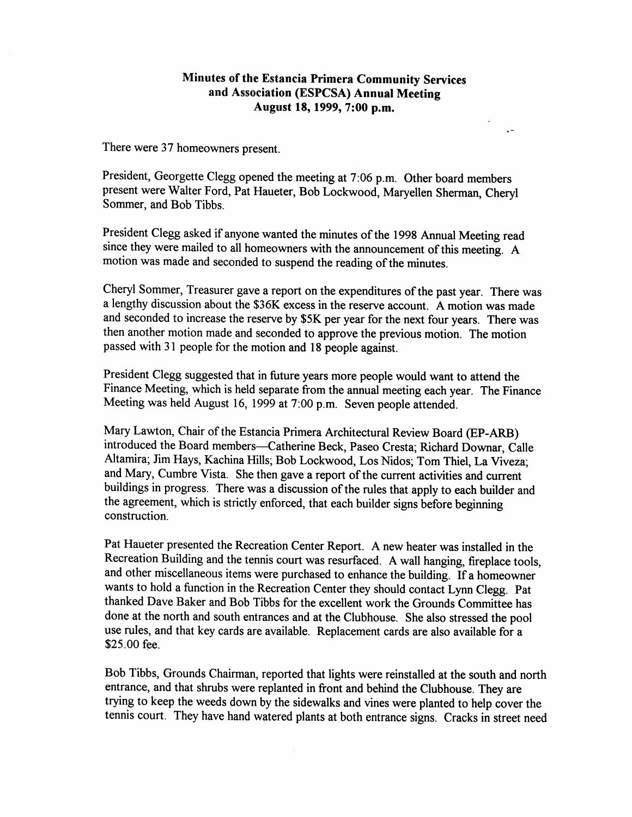#### Minutes of the Estancia Primera Community Services and Association (ESPCSA) Annual Meeting August 18, 1999, 7:00 p.m.

 $\ddot{\phantom{a}}$ 

There were 37 homeowners present.

President, Georgette Clegg opened the meeting at 7:06 p.m. Other board members present were Walter Ford, Pat Haueter, Bob Lockwood, Maryellen Sherman, Cheryl Sommer, and Bob Tibbs.

President Clegg asked if anyone wanted the minutes of the 1998 Annual Meeting read since they were mailed to all homeowners with the announcement of this meeting. A motion was made and seconded to suspend the reading of the minutes.

Cheryl Sommer, Treasurer gave a report on the expenditures of the past year. There was a lengthy discussion about the \$36K excess in the reserve account. A motion was made and seconded to increase the reserve by \$5K per year for the next four years. There was then another motion made and seconded to approve the previous motion. The motion passed with 3l people for the motion and 18 people against.

President Clegg suggested that in future years more people would want to attend the Finance Meeting, which is held separate from the annual meeting each year. The Finance Meeting was held August 16, 1999 at 7:00 p.m. Seven people attended.

Mary Lawton, Chair of the Estancia Primera Architectural Review Board (EP-ARB) introduced the Board members-Catherine Beck, Paseo Cresta; Richard Downar, Calle Altamira; Jim Hays, Kachina Hills; Bob Lockwood, Los Nidos; Tom Thiel, La viveza; and Mary, Cumbre Vista. She then gave a report of the current activities and current buildings in progress. There was a discussion of the rules that apply to each builder and the agreement, which is strictly enforced, that each builder signs before beginning construction.

Pat Haueter presented the Recreation Center Report. A new heater was installed in the Recreation Building and the tennis court was resurfaced. A wall hanging, fireplace tools, and other miscellaneous items were purchased to enhance the building. if a homeowner wants to hold a function in the Recreation Center they should contact Lynn Clegg. Pat thanked Dave Baker and Bob Tibbs for the excellent work the Grounds Committee has done at the north and south entrances and at the Clubhouse. She also stressed the pool use rules, and that key cards are available. Replacement cards are also available for a \$25.00 fee.

Bob Tibbs, Grounds Chairman, reported that lights were reinstalled at the south and north entrance, and that shrubs were replanted in front and behind the Clubhouse. They are trying to keep the weeds down by the sidewalks and vines were planted to help cover the tennis court. They have hand watered plants at both entrance signs. Cracks in street need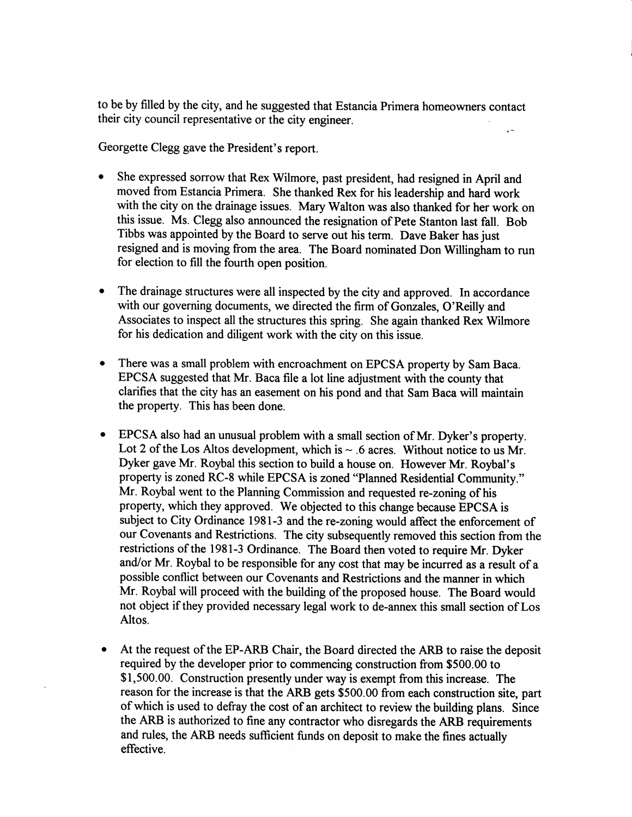to be by filled by the city, and he suggested that Estancia Primera homeowners contact their city council representative or the city engineer.

Georgette Clegg gave the President's report.

- She expressed sorrow that Rex Wilmore, past president, had resigned in April and moved from Estancia Primera. She thanked Rex for his leadership and hard work with the city on the drainage issues. Mary Walton was also thanked for her work on this issue. Ms. Clegg also announced the resignation of Pete Stanton last fall. Bob Tibbs was appointed by the Board to serve out his term. Dave Baker has just resigned and is moving from the area. The Board nominated Don Willingham to run for election to fill the fourth open position.
- The drainage structures were all inspected by the city and approved. In accordance with our governing documents, we directed the firm of Gonzales, O'Reilly and Associates to inspect all the structures this spring. She again thanked Rex Wilmore for his dedication and diligent work with the city on this issue.
- There was a small problem with encroachment on EPCSA property by Sam Baca. EPCSA suggested that Mr. Baca file a lot line adjustment with the county that clarifies that the city has an easement on his pond and that Sam Baca will maintain the property. This has been done.
- EPCSA also had an unusual problem with a small section of Mr. Dyker's property. Lot 2 of the Los Altos development, which is  $\sim$  .6 acres. Without notice to us Mr. Dyker gave Mr. Roybal this section to build a house on. However Mr. Roybal's property is zoned RC-8 while EPCSA is zoned "Planned Residential Community." Mr. Roybal went to the Planning Commission and requested re-zoning of his property, which they approved. We objected to this change because EPCSA is subject to City Ordinance l98l-3 and the re-zoning would affect the enforcement of our Covenants and Restrictions. The city subsequently removed this section from the restrictions of the 1981-3 Ordinance. The Board then voted to require Mr. Dyker and/or Mr. Roybal to be responsible for any cost that may be incurred as a result of <sup>a</sup> possible conflict between our Covenants and Restrictions and the manner in which Mr. Roybal will proceed with the building of the proposed house. The Board would not object if they provided necessary legal work to de-annex this small section of Los Altos.
- o At the request of the EP-ARB Chair, the Board directed the ARB to raise the deposit required by the developer prior to commencing construction from \$500.00 to \$1,500.00. Construction presently under way is exempt from this increase. The reason for the increase is that the ARB gets \$500.00 from each construction site, part of which is used to defray the cost of an architect to review the building plans. Since the ARB is authorized to fine any contractor who disregards the ARB requirements and rules, the ARB needs sufficient funds on deposit to make the fines actually effective.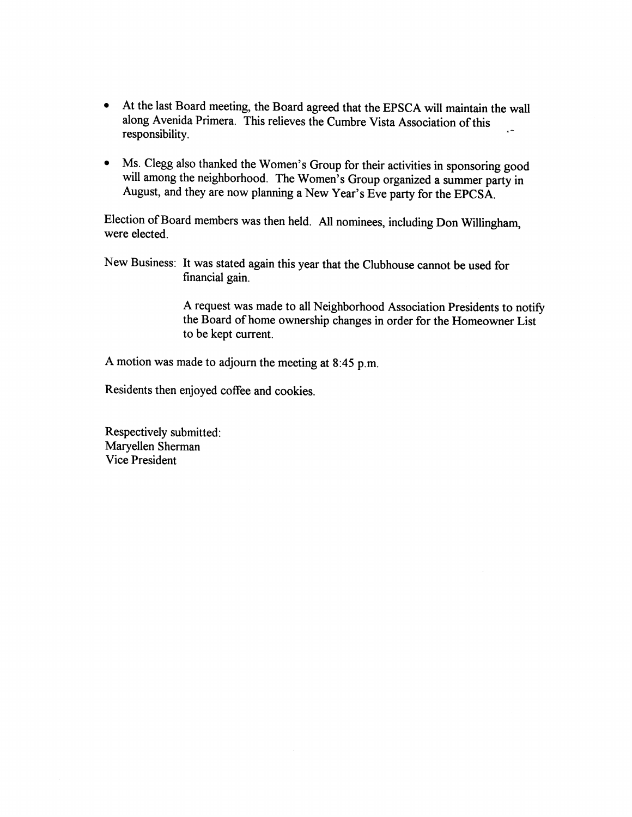- o At the last Board meeting, the Board agreed that the EPSCA will maintain the wall along Avenida Primera. This relieves the Cumbre Vista Association of this responsibility
- Ms. Clegg also thanked the Women's Group for their activities in sponsoring good will among the neighborhood. The Women's Group organized a summer party in August, and they are now planning a New Year's Eve party for the EPCSA August, and they are now planning a New year's Eve party for the EpcsA.

Election of Board members was then held. All nominees, including Don Willingham, were elected.

New Business: It was stated again this year that the Clubhouse cannot be used for financial gain.

> A request was made to all Neighborhood Association Presidents to notify the Board of home ownership changes in order for the Homeowner List to be kept current.

A motion was made to adjourn the meeting at 8:45 p.m.

Residents then enjoyed coffee and cookies.

Respectively submitted : Maryellen Sherman Vice President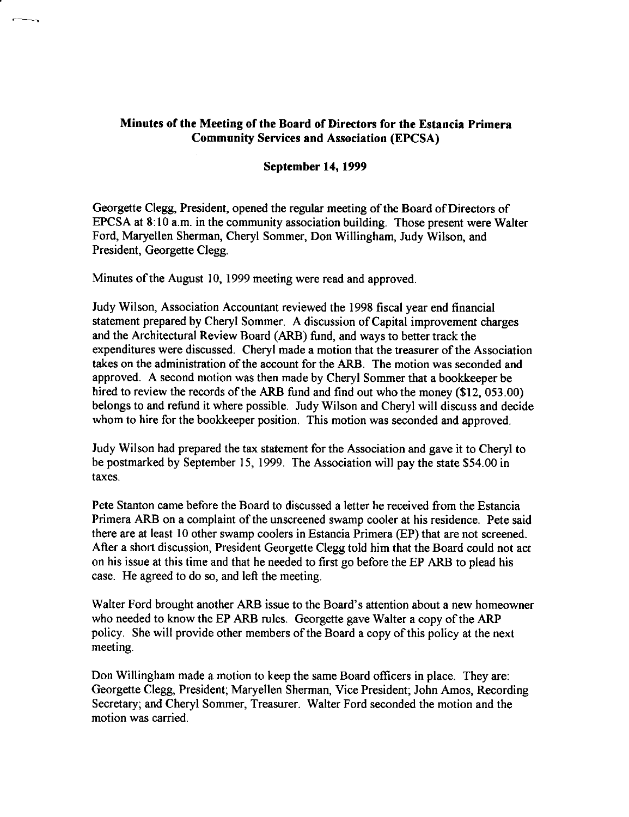## Minutes of the Meeting of the Board of Directors for the Estancia Primera **Community Services and Association (EPCSA)**

#### **September 14, 1999**

Georgette Clegg, President, opened the regular meeting of the Board of Directors of EPCSA at 8:10 a.m. in the community association building. Those present were Walter Ford, Maryellen Sherman, Cheryl Sommer, Don Willingham, Judy Wilson, and President, Georgette Clegg.

Minutes of the August 10, 1999 meeting were read and approved.

Judy Wilson, Association Accountant reviewed the 1998 fiscal year end financial statement prepared by Cheryl Sommer. A discussion of Capital improvement charges and the Architectural Review Board (ARB) fund, and ways to better track the expenditures were discussed. Cheryl made a motion that the treasurer of the Association takes on the administration of the account for the ARB. The motion was seconded and approved. A second motion was then made by Cheryl Sommer that a bookkeeper be hired to review the records of the ARB fund and find out who the money (\$12, 053.00) belongs to and refund it where possible. Judy Wilson and Cheryl will discuss and decide whom to hire for the bookkeeper position. This motion was seconded and approved.

Judy Wilson had prepared the tax statement for the Association and gave it to Cheryl to be postmarked by September 15, 1999. The Association will pay the state \$54.00 in taxes.

Pete Stanton came before the Board to discussed a letter he received from the Estancia Primera ARB on a complaint of the unscreened swamp cooler at his residence. Pete said there are at least 10 other swamp coolers in Estancia Primera (EP) that are not screened. After a short discussion, President Georgette Clegg told him that the Board could not act on his issue at this time and that he needed to first go before the EP ARB to plead his case. He agreed to do so, and left the meeting.

Walter Ford brought another ARB issue to the Board's attention about a new homeowner who needed to know the EP ARB rules. Georgette gave Walter a copy of the ARP policy. She will provide other members of the Board a copy of this policy at the next meeting.

Don Willingham made a motion to keep the same Board officers in place. They are: Georgette Clegg, President; Maryellen Sherman, Vice President; John Amos, Recording Secretary; and Cheryl Sommer, Treasurer. Walter Ford seconded the motion and the motion was carried.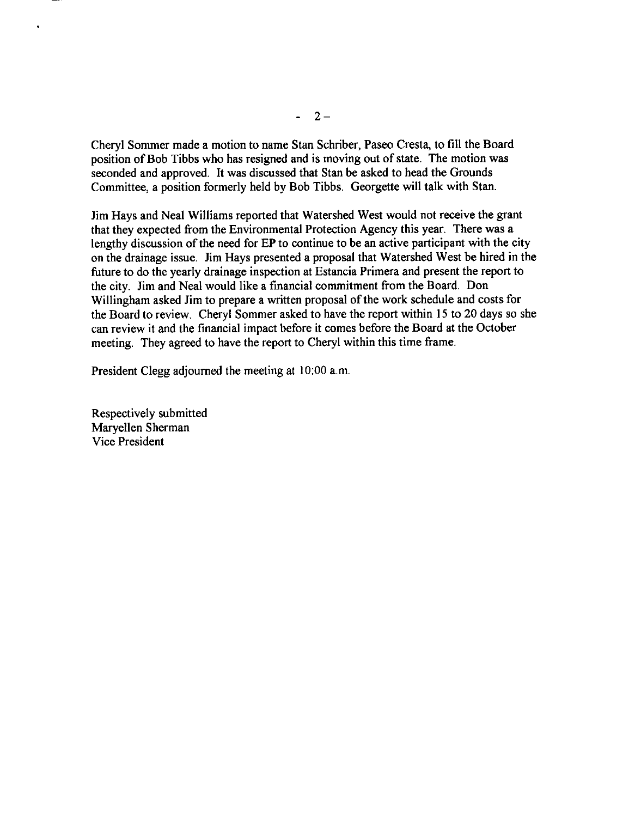Cheryl Sommer made a motion to name Stan Schriber, Paseo Cresta, to fill the Board position of Bob Tibbs who has resigned and is moving out of state. The motion was seconded and approved. It was discussed that Stan be asked to head the Grounds Committee, a position formerly held by Bob Tibbs. Georgette will talk with Stan.

Jim Hays and Neal Williams reported that Watershed West would not receive the grant that they expected from the Environmental Protection Agency this year. There was a lengthy discussion of the need for EP to continue to be an active participant with the city on the drainage issue. Jim Hays presented a proposal that Watershed West be hired in the future to do the yearly drainage inspection at Estancia Primera and present the report to the city. Jim and Neal would like a financial commitment from the Board. Don Willingham asked Jim to prepare a written proposal of the work schedule and costs for the Board to review. Cheryl Sommer asked to have the report within 15 to 20 days so she can review it and the financial impact before it comes before the Board at the October meeting. They agreed to have the report to Cheryl within this time frame.

President Clegg adjourned the meeting at 10:00 a.m.

Respectively submitted Marvellen Sherman **Vice President**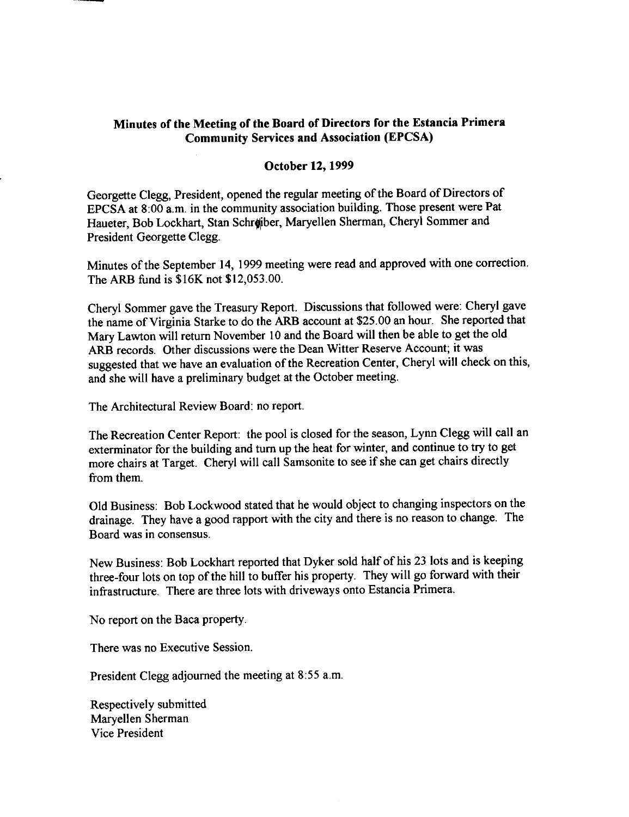#### Minutes of the Meeting of the Board of Directors for the Estancia Primera **Community Services and Association (EPCSA)**

#### **October 12, 1999**

Georgette Clegg, President, opened the regular meeting of the Board of Directors of EPCSA at 8:00 a.m. in the community association building. Those present were Pat Haueter, Bob Lockhart, Stan Schreiber, Maryellen Sherman, Cheryl Sommer and President Georgette Clegg.

Minutes of the September 14, 1999 meeting were read and approved with one correction. The ARB fund is \$16K not \$12,053.00.

Cheryl Sommer gave the Treasury Report. Discussions that followed were: Cheryl gave the name of Virginia Starke to do the ARB account at \$25.00 an hour. She reported that Mary Lawton will return November 10 and the Board will then be able to get the old ARB records. Other discussions were the Dean Witter Reserve Account: it was suggested that we have an evaluation of the Recreation Center, Cheryl will check on this, and she will have a preliminary budget at the October meeting.

The Architectural Review Board: no report.

The Recreation Center Report: the pool is closed for the season, Lynn Clegg will call an exterminator for the building and turn up the heat for winter, and continue to try to get more chairs at Target. Cheryl will call Samsonite to see if she can get chairs directly from them.

Old Business: Bob Lockwood stated that he would object to changing inspectors on the drainage. They have a good rapport with the city and there is no reason to change. The Board was in consensus.

New Business: Bob Lockhart reported that Dyker sold half of his 23 lots and is keeping three-four lots on top of the hill to buffer his property. They will go forward with their infrastructure. There are three lots with driveways onto Estancia Primera.

No report on the Baca property.

There was no Executive Session.

President Clegg adjourned the meeting at 8:55 a.m.

Respectively submitted Maryellen Sherman **Vice President**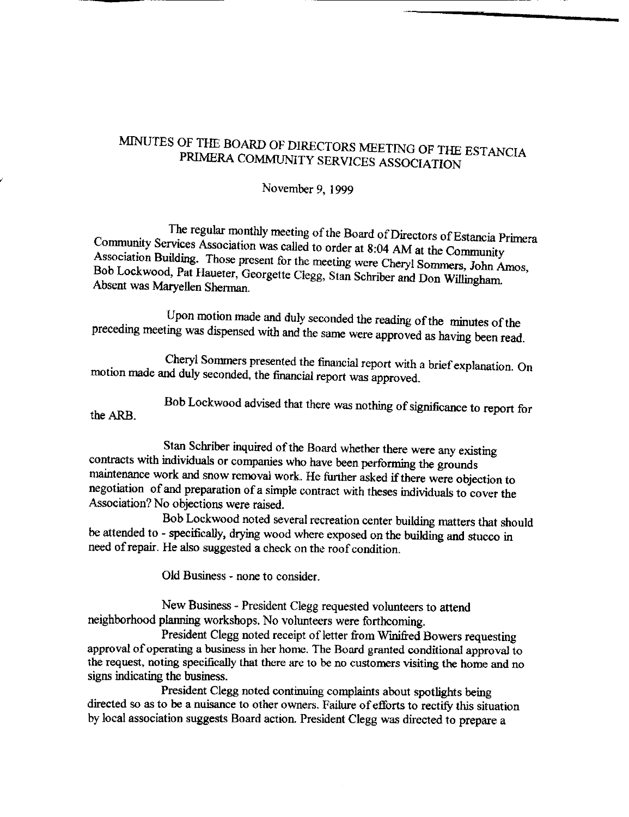#### November 9, 1999

The regular monthly meeting of the Board of Directors of Estancia Primera Community Services Association was called to order at 8:04 AM at the Community Association Building. Those present for the meeting were Cheryl Sommers, John Amos, Bob Lockwood, Pat Haueter, Georgette Clegg, Stan Schriber and Don Willingham. Absent was Maryellen Sherman.

Upon motion made and duly seconded the reading of the minutes of the preceding meeting was dispensed with and the same were approved as having been read.

Cheryl Sommers presented the financial report with a brief explanation. On motion made and duly seconded, the financial report was approved.

Bob Lockwood advised that there was nothing of significance to report for the ARB.

Stan Schriber inquired of the Board whether there were any existing contracts with individuals or companies who have been performing the grounds maintenance work and snow removal work. He further asked if there were objection to negotiation of and preparation of a simple contract with theses individuals to cover the Association? No objections were raised.

Bob Lockwood noted several recreation center building matters that should be attended to - specifically, drying wood where exposed on the building and stucco in need of repair. He also suggested a check on the roof condition.

Old Business - none to consider.

New Business - President Clegg requested volunteers to attend neighborhood planning workshops. No volunteers were forthcoming.

President Clegg noted receipt of letter from Winifred Bowers requesting approval of operating a business in her home. The Board granted conditional approval to the request, noting specifically that there are to be no customers visiting the home and no signs indicating the business.

President Clegg noted continuing complaints about spotlights being directed so as to be a nuisance to other owners. Failure of efforts to rectify this situation by local association suggests Board action. President Clegg was directed to prepare a